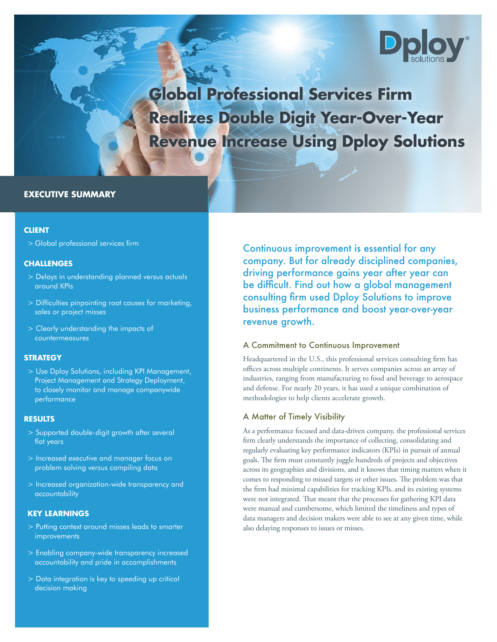

**Global Professional Services Firm Realizes Double Digit Year-Over-Year Revenue Increase Using Dploy Solutions**

# **EXECUTIVE SUMMARY**

### **CLIENT**

> Global professional services firm

#### **CHALLENGES**

- > Delays in understanding planned versus actuals around KPIs
- > Difficulties pinpointing root causes for marketing, sales or project misses
- > Clearly understanding the impacts of countermeasures

### **STRATEGY**

> Use Dploy Solutions, including KPI Management, Project Management and Strategy Deployment, to closely monitor and manage companywide performance

### **RESULTS**

- > Supported double-digit growth after several flat years
- > Increased executive and manager focus on problem solving versus compiling data
- > Increased organization-wide transparency and accountability

### **KEY LEARNINGS**

- > Putting context around misses leads to smarter **improvements**
- > Enabling company-wide transparency increased accountability and pride in accomplishments
- > Data integration is key to speeding up critical decision making

Continuous improvement is essential for any company. But for already disciplined companies, driving performance gains year after year can be difficult. Find out how a global management consulting firm used Dploy Solutions to improve business performance and boost year-over-year revenue growth.

## A Commitment to Continuous Improvement

Headquartered in the U.S., this professional services consulting firm has offices across multiple continents. It serves companies across an array of industries, ranging from manufacturing to food and beverage to aerospace and defense. For nearly 20 years, it has used a unique combination of methodologies to help clients accelerate growth.

## A Matter of Timely Visibility

As a performance focused and data-driven company, the professional services firm clearly understands the importance of collecting, consolidating and regularly evaluating key performance indicators (KPIs) in pursuit of annual goals. The firm must constantly juggle hundreds of projects and objectives across its geographies and divisions, and it knows that timing matters when it comes to responding to missed targets or other issues. The problem was that the firm had minimal capabilities for tracking KPIs, and its existing systems were not integrated. That meant that the processes for gathering KPI data were manual and cumbersome, which limited the timeliness and types of data managers and decision makers were able to see at any given time, while also delaying responses to issues or misses.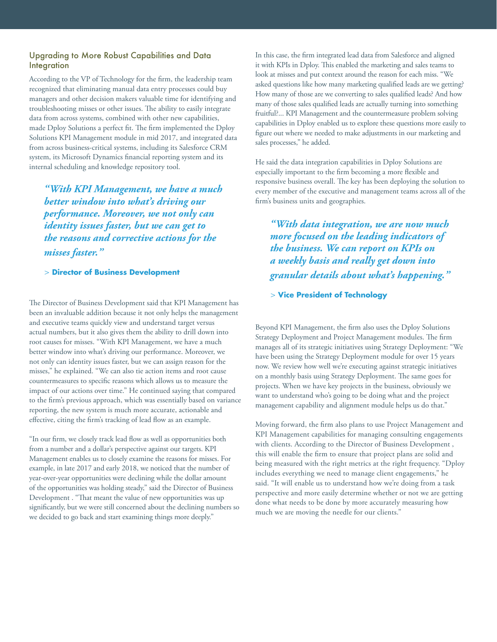## Upgrading to More Robust Capabilities and Data **Integration**

According to the VP of Technology for the firm, the leadership team recognized that eliminating manual data entry processes could buy managers and other decision makers valuable time for identifying and troubleshooting misses or other issues. The ability to easily integrate data from across systems, combined with other new capabilities, made Dploy Solutions a perfect fit. The firm implemented the Dploy Solutions KPI Management module in mid 2017, and integrated data from across business-critical systems, including its Salesforce CRM system, its Microsoft Dynamics financial reporting system and its internal scheduling and knowledge repository tool.

*"With KPI Management, we have a much better window into what's driving our performance. Moreover, we not only can identity issues faster, but we can get to the reasons and corrective actions for the misses faster."*

> **Director of Business Development**

The Director of Business Development said that KPI Management has been an invaluable addition because it not only helps the management and executive teams quickly view and understand target versus actual numbers, but it also gives them the ability to drill down into root causes for misses. "With KPI Management, we have a much better window into what's driving our performance. Moreover, we not only can identity issues faster, but we can assign reason for the misses," he explained. "We can also tie action items and root cause countermeasures to specific reasons which allows us to measure the impact of our actions over time." He continued saying that compared to the firm's previous approach, which was essentially based on variance reporting, the new system is much more accurate, actionable and effective, citing the firm's tracking of lead flow as an example.

"In our firm, we closely track lead flow as well as opportunities both from a number and a dollar's perspective against our targets. KPI Management enables us to closely examine the reasons for misses. For example, in late 2017 and early 2018, we noticed that the number of year-over-year opportunities were declining while the dollar amount of the opportunities was holding steady," said the Director of Business Development . "That meant the value of new opportunities was up significantly, but we were still concerned about the declining numbers so we decided to go back and start examining things more deeply."

In this case, the firm integrated lead data from Salesforce and aligned it with KPIs in Dploy. This enabled the marketing and sales teams to look at misses and put context around the reason for each miss. "We asked questions like how many marketing qualified leads are we getting? How many of those are we converting to sales qualified leads? And how many of those sales qualified leads are actually turning into something fruitful?... KPI Management and the countermeasure problem solving capabilities in Dploy enabled us to explore these questions more easily to figure out where we needed to make adjustments in our marketing and sales processes," he added.

He said the data integration capabilities in Dploy Solutions are especially important to the firm becoming a more flexible and responsive business overall. The key has been deploying the solution to every member of the executive and management teams across all of the firm's business units and geographies.

*"With data integration, we are now much more focused on the leading indicators of the business. We can report on KPIs on a weekly basis and really get down into granular details about what's happening."*

> **Vice President of Technology**

Beyond KPI Management, the firm also uses the Dploy Solutions Strategy Deployment and Project Management modules. The firm manages all of its strategic initiatives using Strategy Deployment: "We have been using the Strategy Deployment module for over 15 years now. We review how well we're executing against strategic initiatives on a monthly basis using Strategy Deployment. The same goes for projects. When we have key projects in the business, obviously we want to understand who's going to be doing what and the project management capability and alignment module helps us do that."

Moving forward, the firm also plans to use Project Management and KPI Management capabilities for managing consulting engagements with clients. According to the Director of Business Development , this will enable the firm to ensure that project plans are solid and being measured with the right metrics at the right frequency. "Dploy includes everything we need to manage client engagements," he said. "It will enable us to understand how we're doing from a task perspective and more easily determine whether or not we are getting done what needs to be done by more accurately measuring how much we are moving the needle for our clients."